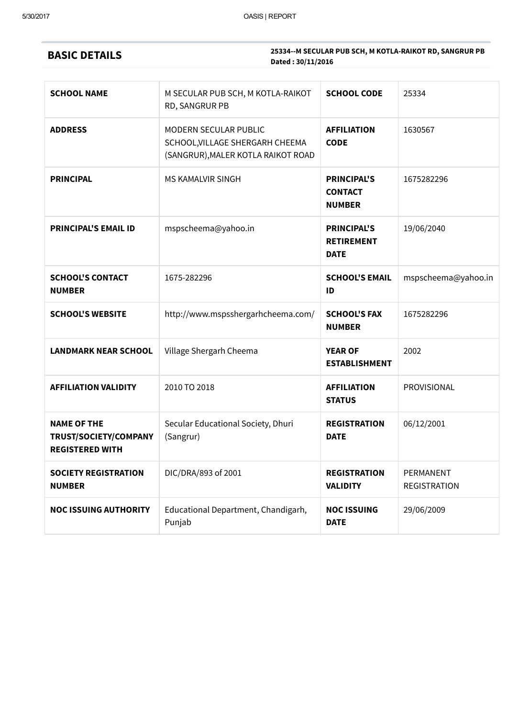## BASIC DETAILS

| <b>SCHOOL NAME</b>                                                    | M SECULAR PUB SCH, M KOTLA-RAIKOT<br>RD, SANGRUR PB                                            | <b>SCHOOL CODE</b>                                     | 25334                            |  |  |
|-----------------------------------------------------------------------|------------------------------------------------------------------------------------------------|--------------------------------------------------------|----------------------------------|--|--|
| <b>ADDRESS</b>                                                        | MODERN SECULAR PUBLIC<br>SCHOOL, VILLAGE SHERGARH CHEEMA<br>(SANGRUR), MALER KOTLA RAIKOT ROAD | <b>AFFILIATION</b><br><b>CODE</b>                      | 1630567                          |  |  |
| <b>PRINCIPAL</b>                                                      | <b>MS KAMALVIR SINGH</b>                                                                       | <b>PRINCIPAL'S</b><br><b>CONTACT</b><br><b>NUMBER</b>  | 1675282296                       |  |  |
| <b>PRINCIPAL'S EMAIL ID</b>                                           | mspscheema@yahoo.in                                                                            | <b>PRINCIPAL'S</b><br><b>RETIREMENT</b><br><b>DATE</b> | 19/06/2040                       |  |  |
| <b>SCHOOL'S CONTACT</b><br><b>NUMBER</b>                              | 1675-282296                                                                                    | <b>SCHOOL'S EMAIL</b><br>ID                            | mspscheema@yahoo.in              |  |  |
| <b>SCHOOL'S WEBSITE</b>                                               | http://www.mspsshergarhcheema.com/                                                             | <b>SCHOOL'S FAX</b><br><b>NUMBER</b>                   | 1675282296                       |  |  |
| <b>LANDMARK NEAR SCHOOL</b>                                           | Village Shergarh Cheema                                                                        | <b>YEAR OF</b><br><b>ESTABLISHMENT</b>                 | 2002                             |  |  |
| <b>AFFILIATION VALIDITY</b>                                           | 2010 TO 2018                                                                                   | <b>AFFILIATION</b><br><b>STATUS</b>                    | PROVISIONAL                      |  |  |
| <b>NAME OF THE</b><br>TRUST/SOCIETY/COMPANY<br><b>REGISTERED WITH</b> | Secular Educational Society, Dhuri<br>(Sangrur)                                                | <b>REGISTRATION</b><br><b>DATE</b>                     | 06/12/2001                       |  |  |
| <b>SOCIETY REGISTRATION</b><br><b>NUMBER</b>                          | DIC/DRA/893 of 2001                                                                            | <b>REGISTRATION</b><br><b>VALIDITY</b>                 | PERMANENT<br><b>REGISTRATION</b> |  |  |
| <b>NOC ISSUING AUTHORITY</b>                                          | Educational Department, Chandigarh,<br>Punjab                                                  | <b>NOC ISSUING</b><br><b>DATE</b>                      | 29/06/2009                       |  |  |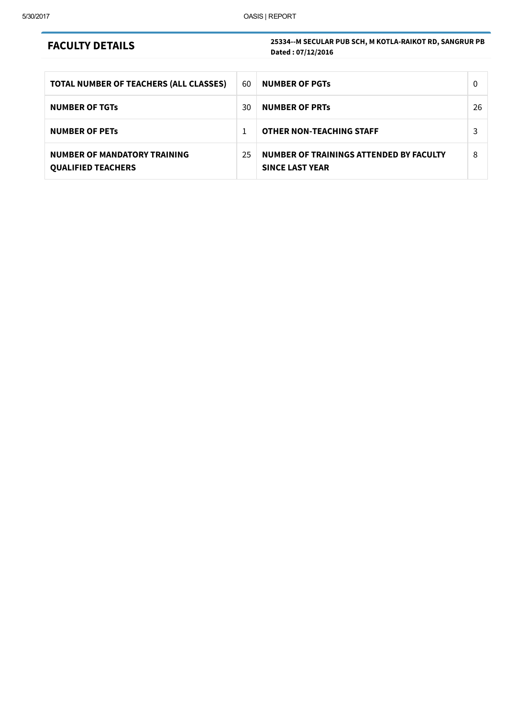## FACULTY DETAILS

| TOTAL NUMBER OF TEACHERS (ALL CLASSES)                           | 60 | <b>NUMBER OF PGTS</b>                                             | $\Omega$ |
|------------------------------------------------------------------|----|-------------------------------------------------------------------|----------|
| <b>NUMBER OF TGTS</b>                                            | 30 | <b>NUMBER OF PRTS</b>                                             | 26       |
| <b>NUMBER OF PETS</b>                                            |    | <b>OTHER NON-TEACHING STAFF</b>                                   | 3        |
| <b>NUMBER OF MANDATORY TRAINING</b><br><b>QUALIFIED TEACHERS</b> | 25 | NUMBER OF TRAININGS ATTENDED BY FACULTY<br><b>SINCE LAST YEAR</b> | 8        |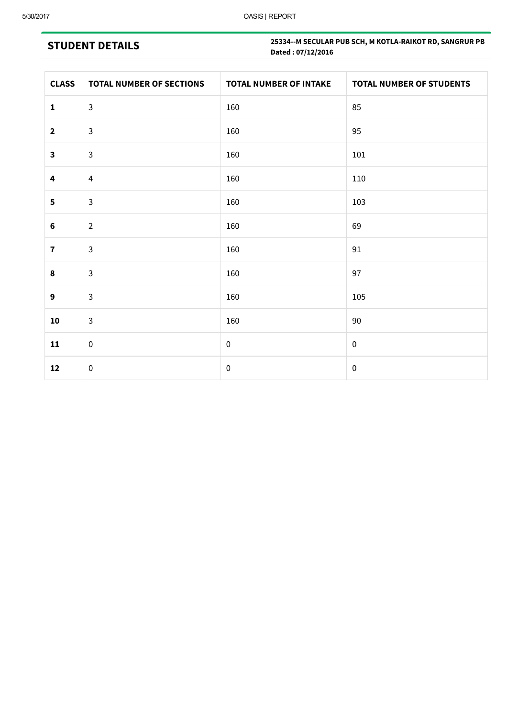# STUDENT DETAILS

| <b>CLASS</b>            | <b>TOTAL NUMBER OF SECTIONS</b> | <b>TOTAL NUMBER OF INTAKE</b> | <b>TOTAL NUMBER OF STUDENTS</b> |
|-------------------------|---------------------------------|-------------------------------|---------------------------------|
| $\mathbf{1}$            | $\mathbf{3}$                    | 160                           | 85                              |
| $\mathbf{2}$            | $\mathbf{3}$                    | 160                           | 95                              |
| $\mathbf{3}$            | $\mathsf{3}$                    | 160                           | 101                             |
| 4                       | $\overline{4}$                  | 160                           | 110                             |
| $\overline{\mathbf{5}}$ | $\mathbf{3}$                    | 160                           | 103                             |
| $\bf 6$                 | $\overline{2}$                  | 160                           | 69                              |
| $\overline{\mathbf{r}}$ | $\mathsf{3}$                    | 160                           | $91\,$                          |
| 8                       | $\mathsf{3}$                    | 160                           | 97                              |
| 9                       | $\mathsf{3}$                    | 160                           | 105                             |
| ${\bf 10}$              | $\mathbf{3}$                    | 160                           | 90                              |
| 11                      | $\mathbf 0$                     | $\boldsymbol{0}$              | $\pmb{0}$                       |
| 12                      | $\pmb{0}$                       | $\pmb{0}$                     | $\pmb{0}$                       |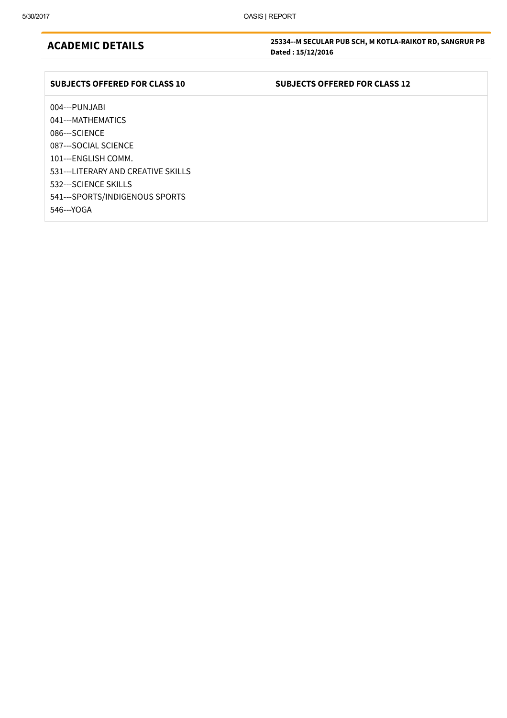#### ACADEMIC DETAILS

| <b>SUBJECTS OFFERED FOR CLASS 10</b> | <b>SUBJECTS OFFERED FOR CLASS 12</b> |
|--------------------------------------|--------------------------------------|
| 004---PUNJABI                        |                                      |
| 041---MATHEMATICS                    |                                      |
| 086---SCIENCE                        |                                      |
| 087---SOCIAL SCIENCE                 |                                      |
| 101---ENGLISH COMM.                  |                                      |
| 531---LITERARY AND CREATIVE SKILLS   |                                      |
| 532--- SCIENCE SKILLS                |                                      |
| 541---SPORTS/INDIGENOUS SPORTS       |                                      |
| 546---YOGA                           |                                      |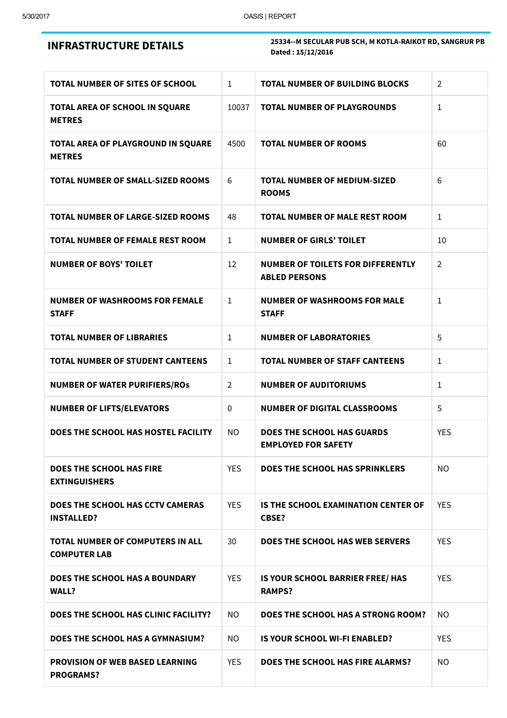|  |  |  |  |  |  |  |  |  |  | <b>INFRASTRUCTURE DETAILS</b> |  |  |  |  |  |
|--|--|--|--|--|--|--|--|--|--|-------------------------------|--|--|--|--|--|
|  |  |  |  |  |  |  |  |  |  |                               |  |  |  |  |  |

| <b>TOTAL NUMBER OF SITES OF SCHOOL</b>                         | $\mathbf{1}$   | <b>TOTAL NUMBER OF BUILDING BLOCKS</b>                           | $\overline{2}$ |
|----------------------------------------------------------------|----------------|------------------------------------------------------------------|----------------|
| <b>TOTAL AREA OF SCHOOL IN SQUARE</b><br><b>METRES</b>         | 10037          | <b>TOTAL NUMBER OF PLAYGROUNDS</b>                               | $\mathbf{1}$   |
| TOTAL AREA OF PLAYGROUND IN SQUARE<br><b>METRES</b>            | 4500           | <b>TOTAL NUMBER OF ROOMS</b>                                     | 60             |
| <b>TOTAL NUMBER OF SMALL-SIZED ROOMS</b>                       | 6              | <b>TOTAL NUMBER OF MEDIUM-SIZED</b><br><b>ROOMS</b>              | 6              |
| <b>TOTAL NUMBER OF LARGE-SIZED ROOMS</b>                       | 48             | <b>TOTAL NUMBER OF MALE REST ROOM</b>                            | $\mathbf{1}$   |
| TOTAL NUMBER OF FEMALE REST ROOM                               | $\mathbf{1}$   | <b>NUMBER OF GIRLS' TOILET</b>                                   | 10             |
| <b>NUMBER OF BOYS' TOILET</b>                                  | 12             | <b>NUMBER OF TOILETS FOR DIFFERENTLY</b><br><b>ABLED PERSONS</b> | $\overline{2}$ |
| <b>NUMBER OF WASHROOMS FOR FEMALE</b><br><b>STAFF</b>          | $\mathbf{1}$   | <b>NUMBER OF WASHROOMS FOR MALE</b><br><b>STAFF</b>              | $\mathbf{1}$   |
| <b>TOTAL NUMBER OF LIBRARIES</b>                               | 1              | <b>NUMBER OF LABORATORIES</b>                                    | 5              |
| <b>TOTAL NUMBER OF STUDENT CANTEENS</b>                        | $\mathbf{1}$   | <b>TOTAL NUMBER OF STAFF CANTEENS</b>                            | $\mathbf{1}$   |
| <b>NUMBER OF WATER PURIFIERS/ROS</b>                           | $\overline{2}$ | <b>NUMBER OF AUDITORIUMS</b>                                     | $\mathbf{1}$   |
| <b>NUMBER OF LIFTS/ELEVATORS</b>                               | 0              | <b>NUMBER OF DIGITAL CLASSROOMS</b>                              | 5              |
| DOES THE SCHOOL HAS HOSTEL FACILITY                            | N <sub>O</sub> | <b>DOES THE SCHOOL HAS GUARDS</b><br><b>EMPLOYED FOR SAFETY</b>  | <b>YES</b>     |
| <b>DOES THE SCHOOL HAS FIRE</b><br><b>EXTINGUISHERS</b>        | <b>YES</b>     | DOES THE SCHOOL HAS SPRINKLERS                                   | N <sub>O</sub> |
| DOES THE SCHOOL HAS CCTV CAMERAS<br><b>INSTALLED?</b>          | <b>YES</b>     | <b>IS THE SCHOOL EXAMINATION CENTER OF</b><br><b>CBSE?</b>       | <b>YES</b>     |
| <b>TOTAL NUMBER OF COMPUTERS IN ALL</b><br><b>COMPUTER LAB</b> | 30             | <b>DOES THE SCHOOL HAS WEB SERVERS</b>                           | <b>YES</b>     |
| DOES THE SCHOOL HAS A BOUNDARY<br>WALL?                        | <b>YES</b>     | IS YOUR SCHOOL BARRIER FREE/ HAS<br><b>RAMPS?</b>                | <b>YES</b>     |
| DOES THE SCHOOL HAS CLINIC FACILITY?                           | NO.            | DOES THE SCHOOL HAS A STRONG ROOM?                               | NO.            |
| DOES THE SCHOOL HAS A GYMNASIUM?                               | NO             | <b>IS YOUR SCHOOL WI-FI ENABLED?</b>                             | <b>YES</b>     |
| <b>PROVISION OF WEB BASED LEARNING</b><br><b>PROGRAMS?</b>     | <b>YES</b>     | DOES THE SCHOOL HAS FIRE ALARMS?                                 | NO.            |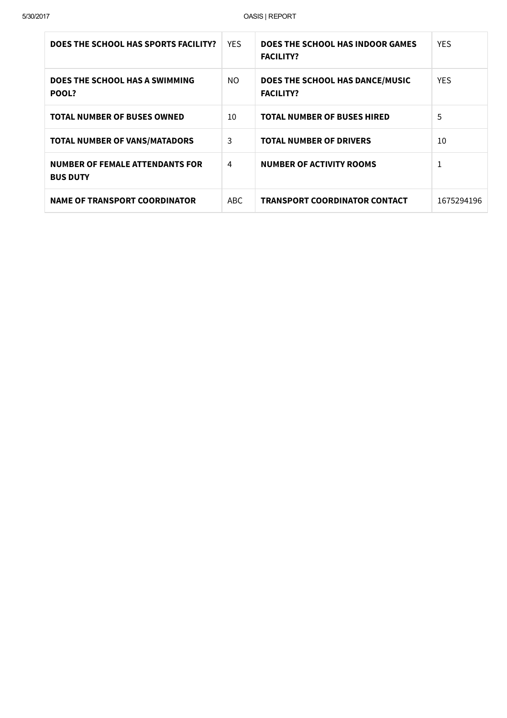| DOES THE SCHOOL HAS SPORTS FACILITY?                      | <b>YES</b> | DOES THE SCHOOL HAS INDOOR GAMES<br><b>FACILITY?</b> | <b>YES</b> |
|-----------------------------------------------------------|------------|------------------------------------------------------|------------|
| DOES THE SCHOOL HAS A SWIMMING<br>POOL?                   | NO.        | DOES THE SCHOOL HAS DANCE/MUSIC<br><b>FACILITY?</b>  | <b>YES</b> |
| <b>TOTAL NUMBER OF BUSES OWNED</b>                        | 10         | <b>TOTAL NUMBER OF BUSES HIRED</b>                   | 5          |
| <b>TOTAL NUMBER OF VANS/MATADORS</b>                      | 3          | <b>TOTAL NUMBER OF DRIVERS</b>                       | 10         |
| <b>NUMBER OF FEMALE ATTENDANTS FOR</b><br><b>BUS DUTY</b> | 4          | <b>NUMBER OF ACTIVITY ROOMS</b>                      | 1          |
| <b>NAME OF TRANSPORT COORDINATOR</b>                      | ABC.       | <b>TRANSPORT COORDINATOR CONTACT</b>                 | 1675294196 |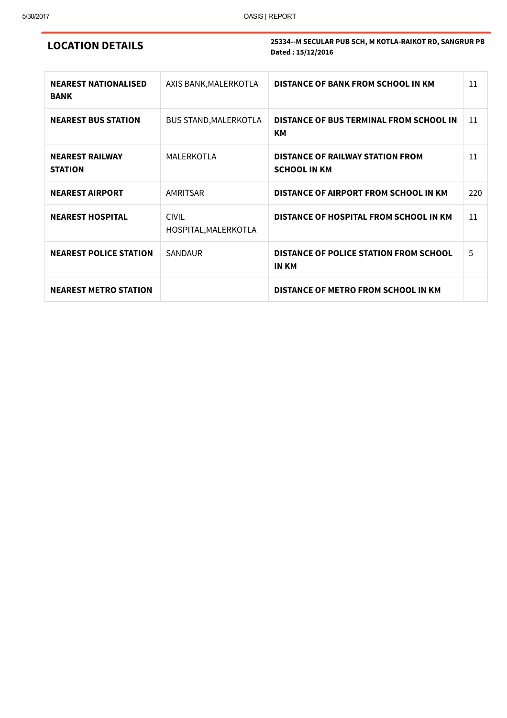### LOCATION DETAILS

| <b>NEAREST NATIONALISED</b><br><b>BANK</b> | AXIS BANK, MALERKOTLA                | DISTANCE OF BANK FROM SCHOOL IN KM                             | 11  |
|--------------------------------------------|--------------------------------------|----------------------------------------------------------------|-----|
| <b>NEAREST BUS STATION</b>                 | <b>BUS STAND, MALERKOTLA</b>         | DISTANCE OF BUS TERMINAL FROM SCHOOL IN<br>KМ                  | 11  |
| <b>NEAREST RAILWAY</b><br><b>STATION</b>   | MALERKOTLA                           | <b>DISTANCE OF RAILWAY STATION FROM</b><br><b>SCHOOL IN KM</b> | 11  |
| <b>NEAREST AIRPORT</b>                     | AMRITSAR                             | DISTANCE OF AIRPORT FROM SCHOOL IN KM                          | 220 |
| <b>NEAREST HOSPITAL</b>                    | <b>CIVIL</b><br>HOSPITAL, MALERKOTLA | DISTANCE OF HOSPITAL FROM SCHOOL IN KM                         | 11  |
| <b>NEAREST POLICE STATION</b>              | SANDAUR                              | <b>DISTANCE OF POLICE STATION FROM SCHOOL</b><br><b>IN KM</b>  | 5   |
| <b>NEAREST METRO STATION</b>               |                                      | DISTANCE OF METRO FROM SCHOOL IN KM                            |     |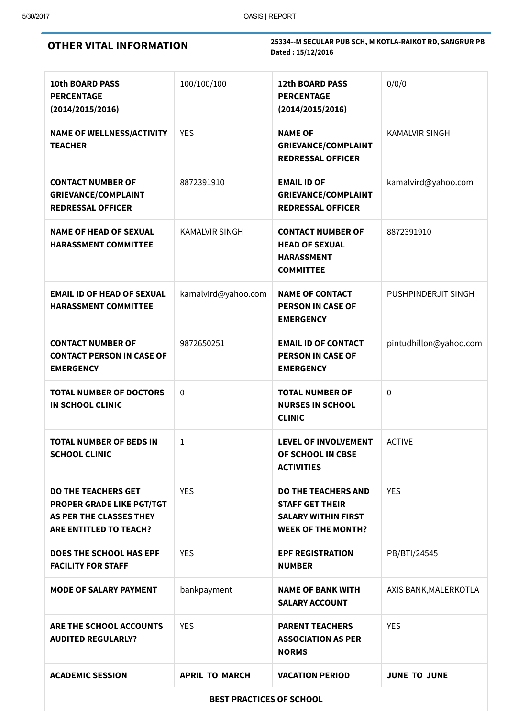OTHER VITAL INFORMATION

| <b>10th BOARD PASS</b><br><b>PERCENTAGE</b><br>(2014/2015/2016)                                                            | 100/100/100           | <b>12th BOARD PASS</b><br><b>PERCENTAGE</b><br>(2014/2015/2016)                                                 | 0/0/0                  |  |  |  |  |
|----------------------------------------------------------------------------------------------------------------------------|-----------------------|-----------------------------------------------------------------------------------------------------------------|------------------------|--|--|--|--|
| <b>NAME OF WELLNESS/ACTIVITY</b><br><b>TEACHER</b>                                                                         | <b>YES</b>            | <b>NAME OF</b><br><b>GRIEVANCE/COMPLAINT</b><br><b>REDRESSAL OFFICER</b>                                        | <b>KAMALVIR SINGH</b>  |  |  |  |  |
| <b>CONTACT NUMBER OF</b><br><b>GRIEVANCE/COMPLAINT</b><br><b>REDRESSAL OFFICER</b>                                         | 8872391910            | <b>EMAIL ID OF</b><br><b>GRIEVANCE/COMPLAINT</b><br><b>REDRESSAL OFFICER</b>                                    | kamalvird@yahoo.com    |  |  |  |  |
| <b>NAME OF HEAD OF SEXUAL</b><br><b>HARASSMENT COMMITTEE</b>                                                               | <b>KAMALVIR SINGH</b> | <b>CONTACT NUMBER OF</b><br><b>HEAD OF SEXUAL</b><br><b>HARASSMENT</b><br><b>COMMITTEE</b>                      | 8872391910             |  |  |  |  |
| <b>EMAIL ID OF HEAD OF SEXUAL</b><br><b>HARASSMENT COMMITTEE</b>                                                           | kamalvird@yahoo.com   | <b>NAME OF CONTACT</b><br><b>PERSON IN CASE OF</b><br><b>EMERGENCY</b>                                          | PUSHPINDERJIT SINGH    |  |  |  |  |
| <b>CONTACT NUMBER OF</b><br><b>CONTACT PERSON IN CASE OF</b><br><b>EMERGENCY</b>                                           | 9872650251            | <b>EMAIL ID OF CONTACT</b><br><b>PERSON IN CASE OF</b><br><b>EMERGENCY</b>                                      | pintudhillon@yahoo.com |  |  |  |  |
| <b>TOTAL NUMBER OF DOCTORS</b><br><b>IN SCHOOL CLINIC</b>                                                                  | $\mathbf 0$           | <b>TOTAL NUMBER OF</b><br><b>NURSES IN SCHOOL</b><br><b>CLINIC</b>                                              | $\mathbf 0$            |  |  |  |  |
| <b>TOTAL NUMBER OF BEDS IN</b><br><b>SCHOOL CLINIC</b>                                                                     | $\mathbf{1}$          | <b>LEVEL OF INVOLVEMENT</b><br>OF SCHOOL IN CBSE<br><b>ACTIVITIES</b>                                           | <b>ACTIVE</b>          |  |  |  |  |
| <b>DO THE TEACHERS GET</b><br>PROPER GRADE LIKE PGT/TGT<br><b>AS PER THE CLASSES THEY</b><br><b>ARE ENTITLED TO TEACH?</b> | <b>YES</b>            | <b>DO THE TEACHERS AND</b><br><b>STAFF GET THEIR</b><br><b>SALARY WITHIN FIRST</b><br><b>WEEK OF THE MONTH?</b> | <b>YES</b>             |  |  |  |  |
| <b>DOES THE SCHOOL HAS EPF</b><br><b>FACILITY FOR STAFF</b>                                                                | <b>YES</b>            | <b>EPF REGISTRATION</b><br><b>NUMBER</b>                                                                        | PB/BTI/24545           |  |  |  |  |
| <b>MODE OF SALARY PAYMENT</b>                                                                                              | bankpayment           | <b>NAME OF BANK WITH</b><br><b>SALARY ACCOUNT</b>                                                               | AXIS BANK, MALERKOTLA  |  |  |  |  |
| ARE THE SCHOOL ACCOUNTS<br><b>AUDITED REGULARLY?</b>                                                                       | <b>YES</b>            | <b>PARENT TEACHERS</b><br><b>ASSOCIATION AS PER</b><br><b>NORMS</b>                                             | <b>YES</b>             |  |  |  |  |
| <b>ACADEMIC SESSION</b>                                                                                                    | <b>APRIL TO MARCH</b> | <b>VACATION PERIOD</b>                                                                                          | <b>JUNE TO JUNE</b>    |  |  |  |  |
| <b>BEST PRACTICES OF SCHOOL</b>                                                                                            |                       |                                                                                                                 |                        |  |  |  |  |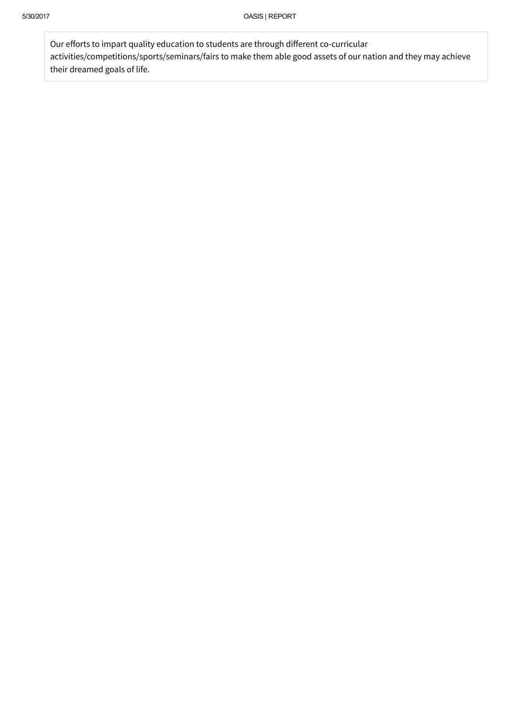Our efforts to impart quality education to students are through different co-curricular activities/competitions/sports/seminars/fairs to make them able good assets of our nation and they may achieve their dreamed goals of life.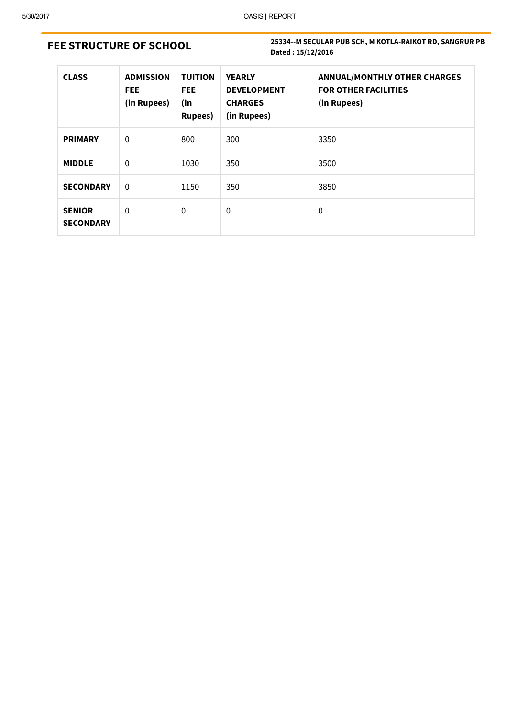# FEE STRUCTURE OF SCHOOL

| <b>CLASS</b>                      | <b>ADMISSION</b><br><b>FEE</b><br>(in Rupees) | <b>TUITION</b><br><b>FEE</b><br>(in<br><b>Rupees</b> ) | <b>YEARLY</b><br><b>DEVELOPMENT</b><br><b>CHARGES</b><br>(in Rupees) | <b>ANNUAL/MONTHLY OTHER CHARGES</b><br><b>FOR OTHER FACILITIES</b><br>(in Rupees) |
|-----------------------------------|-----------------------------------------------|--------------------------------------------------------|----------------------------------------------------------------------|-----------------------------------------------------------------------------------|
| <b>PRIMARY</b>                    | 0                                             | 800                                                    | 300                                                                  | 3350                                                                              |
| <b>MIDDLE</b>                     | 0                                             | 1030                                                   | 350                                                                  | 3500                                                                              |
| <b>SECONDARY</b>                  | $\Omega$                                      | 1150                                                   | 350                                                                  | 3850                                                                              |
| <b>SENIOR</b><br><b>SECONDARY</b> | 0                                             | 0                                                      | $\boldsymbol{0}$                                                     | $\Omega$                                                                          |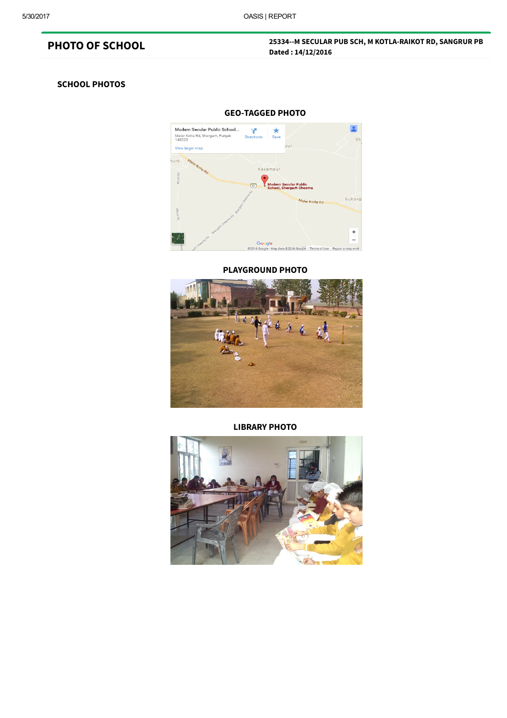## PHOTO OF SCHOOL

#### 25334--M SECULAR PUB SCH, M KOTLA-RAIKOT RD, SANGRUR PB Dated : 14/12/2016

#### SCHOOL PHOTOS



#### PLAYGROUND PHOTO



#### LIBRARY PHOTO

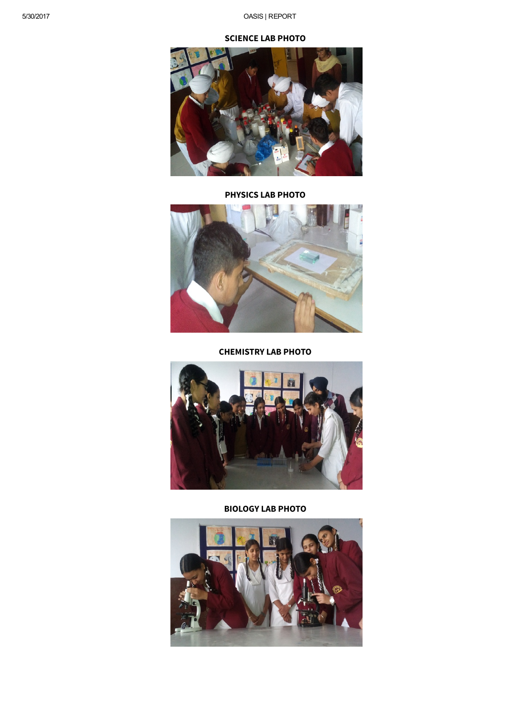

BIOLOGY LAB PHOTO



CHEMISTRY LAB PHOTO



PHYSICS LAB PHOTO



#### SCIENCE LAB PHOTO